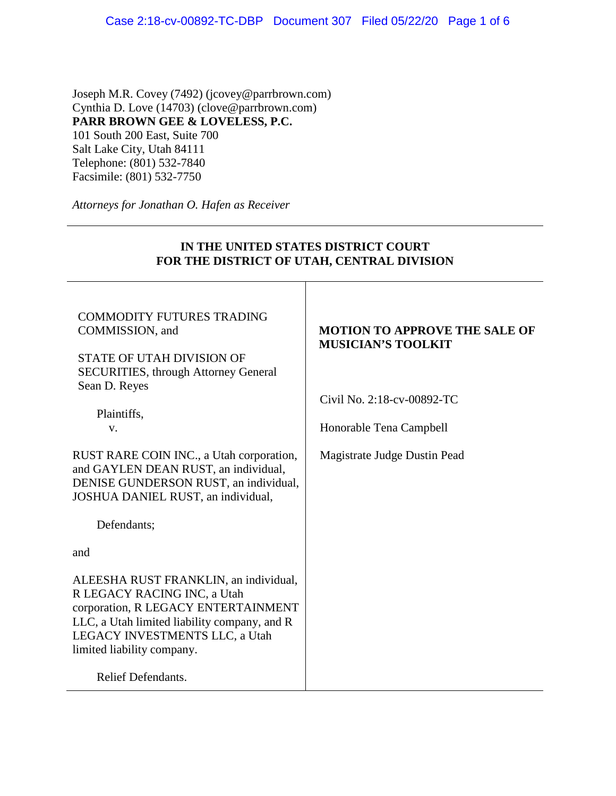Joseph M.R. Covey (7492) (jcovey@parrbrown.com) Cynthia D. Love (14703) (clove@parrbrown.com) **PARR BROWN GEE & LOVELESS, P.C.**  101 South 200 East, Suite 700 Salt Lake City, Utah 84111 Telephone: (801) 532-7840 Facsimile: (801) 532-7750

*Attorneys for Jonathan O. Hafen as Receiver* 

# **IN THE UNITED STATES DISTRICT COURT FOR THE DISTRICT OF UTAH, CENTRAL DIVISION** COMMODITY FUTURES TRADING COMMISSION, and STATE OF UTAH DIVISION OF SECURITIES, through Attorney General Sean D. Reyes Plaintiffs, v. RUST RARE COIN INC., a Utah corporation, and GAYLEN DEAN RUST, an individual, DENISE GUNDERSON RUST, an individual, JOSHUA DANIEL RUST, an individual, Defendants; and ALEESHA RUST FRANKLIN, an individual, R LEGACY RACING INC, a Utah corporation, R LEGACY ENTERTAINMENT LLC, a Utah limited liability company, and R LEGACY INVESTMENTS LLC, a Utah **MOTION TO APPROVE THE SALE OF MUSICIAN'S TOOLKIT** Civil No. 2:18-cv-00892-TC Honorable Tena Campbell Magistrate Judge Dustin Pead

Relief Defendants.

limited liability company.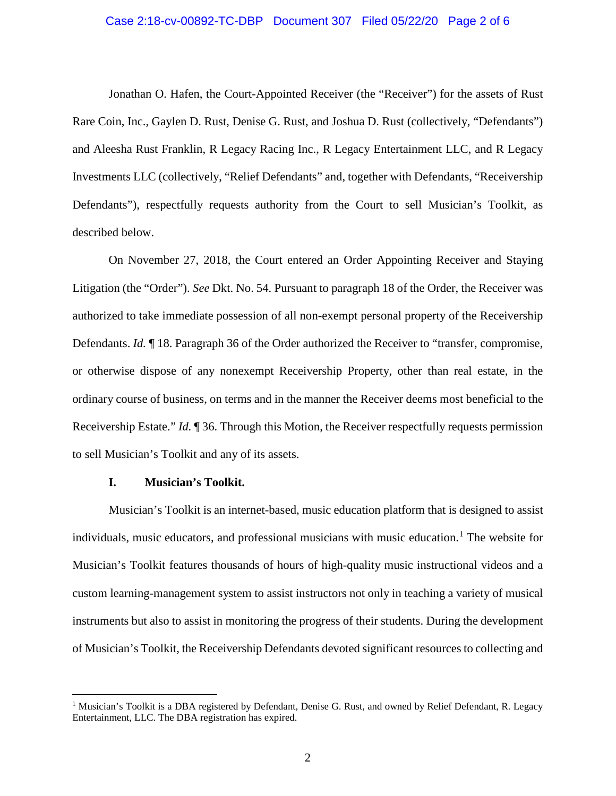## Case 2:18-cv-00892-TC-DBP Document 307 Filed 05/22/20 Page 2 of 6

Jonathan O. Hafen, the Court-Appointed Receiver (the "Receiver") for the assets of Rust Rare Coin, Inc., Gaylen D. Rust, Denise G. Rust, and Joshua D. Rust (collectively, "Defendants") and Aleesha Rust Franklin, R Legacy Racing Inc., R Legacy Entertainment LLC, and R Legacy Investments LLC (collectively, "Relief Defendants" and, together with Defendants, "Receivership Defendants"), respectfully requests authority from the Court to sell Musician's Toolkit, as described below.

On November 27, 2018, the Court entered an Order Appointing Receiver and Staying Litigation (the "Order"). *See* Dkt. No. 54. Pursuant to paragraph 18 of the Order, the Receiver was authorized to take immediate possession of all non-exempt personal property of the Receivership Defendants. *Id.* ¶ 18. Paragraph 36 of the Order authorized the Receiver to "transfer, compromise, or otherwise dispose of any nonexempt Receivership Property, other than real estate, in the ordinary course of business, on terms and in the manner the Receiver deems most beneficial to the Receivership Estate." *Id.* ¶ 36. Through this Motion, the Receiver respectfully requests permission to sell Musician's Toolkit and any of its assets.

## **I. Musician's Toolkit.**

Musician's Toolkit is an internet-based, music education platform that is designed to assist individuals, music educators, and professional musicians with music education.<sup>1</sup> The website for Musician's Toolkit features thousands of hours of high-quality music instructional videos and a custom learning-management system to assist instructors not only in teaching a variety of musical instruments but also to assist in monitoring the progress of their students. During the development of Musician's Toolkit, the Receivership Defendants devoted significant resources to collecting and

<sup>&</sup>lt;sup>1</sup> Musician's Toolkit is a DBA registered by Defendant, Denise G. Rust, and owned by Relief Defendant, R. Legacy Entertainment, LLC. The DBA registration has expired.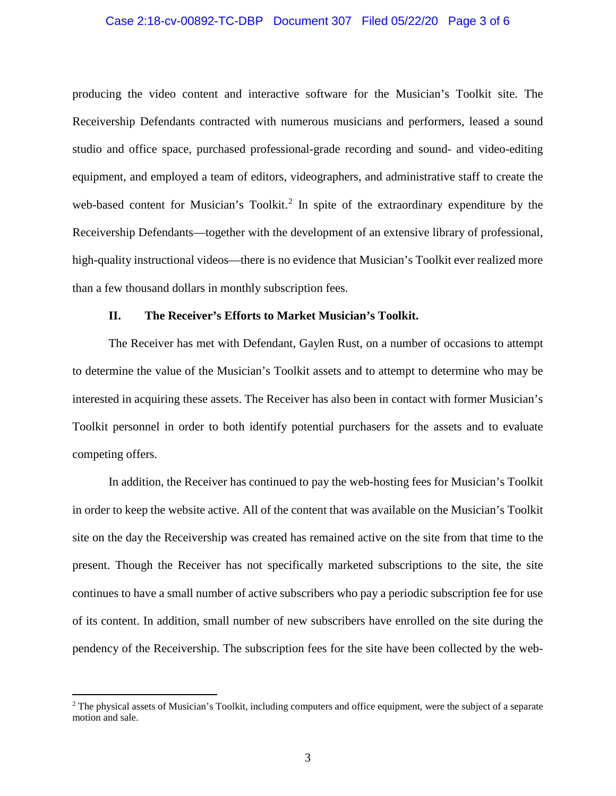## Case 2:18-cv-00892-TC-DBP Document 307 Filed 05/22/20 Page 3 of 6

producing the video content and interactive software for the Musician's Toolkit site. The Receivership Defendants contracted with numerous musicians and performers, leased a sound studio and office space, purchased professional-grade recording and sound- and video-editing equipment, and employed a team of editors, videographers, and administrative staff to create the web-based content for Musician's Toolkit.<sup>2</sup> In spite of the extraordinary expenditure by the Receivership Defendants—together with the development of an extensive library of professional, high-quality instructional videos—there is no evidence that Musician's Toolkit ever realized more than a few thousand dollars in monthly subscription fees.

#### **II. The Receiver's Efforts to Market Musician's Toolkit.**

The Receiver has met with Defendant, Gaylen Rust, on a number of occasions to attempt to determine the value of the Musician's Toolkit assets and to attempt to determine who may be interested in acquiring these assets. The Receiver has also been in contact with former Musician's Toolkit personnel in order to both identify potential purchasers for the assets and to evaluate competing offers.

In addition, the Receiver has continued to pay the web-hosting fees for Musician's Toolkit in order to keep the website active. All of the content that was available on the Musician's Toolkit site on the day the Receivership was created has remained active on the site from that time to the present. Though the Receiver has not specifically marketed subscriptions to the site, the site continues to have a small number of active subscribers who pay a periodic subscription fee for use of its content. In addition, small number of new subscribers have enrolled on the site during the pendency of the Receivership. The subscription fees for the site have been collected by the web-

 $2$  The physical assets of Musician's Toolkit, including computers and office equipment, were the subject of a separate motion and sale.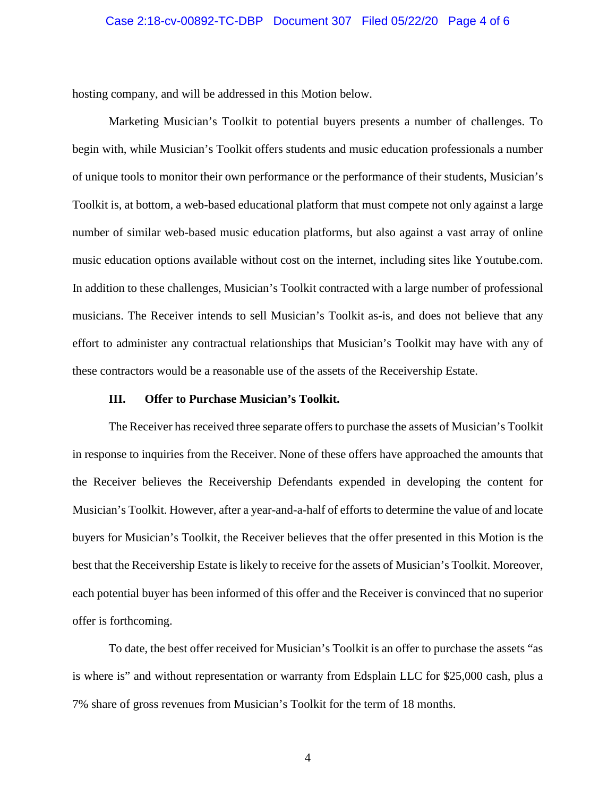#### Case 2:18-cv-00892-TC-DBP Document 307 Filed 05/22/20 Page 4 of 6

hosting company, and will be addressed in this Motion below.

Marketing Musician's Toolkit to potential buyers presents a number of challenges. To begin with, while Musician's Toolkit offers students and music education professionals a number of unique tools to monitor their own performance or the performance of their students, Musician's Toolkit is, at bottom, a web-based educational platform that must compete not only against a large number of similar web-based music education platforms, but also against a vast array of online music education options available without cost on the internet, including sites like Youtube.com. In addition to these challenges, Musician's Toolkit contracted with a large number of professional musicians. The Receiver intends to sell Musician's Toolkit as-is, and does not believe that any effort to administer any contractual relationships that Musician's Toolkit may have with any of these contractors would be a reasonable use of the assets of the Receivership Estate.

#### **III. Offer to Purchase Musician's Toolkit.**

The Receiver has received three separate offers to purchase the assets of Musician's Toolkit in response to inquiries from the Receiver. None of these offers have approached the amounts that the Receiver believes the Receivership Defendants expended in developing the content for Musician's Toolkit. However, after a year-and-a-half of efforts to determine the value of and locate buyers for Musician's Toolkit, the Receiver believes that the offer presented in this Motion is the best that the Receivership Estate is likely to receive for the assets of Musician's Toolkit. Moreover, each potential buyer has been informed of this offer and the Receiver is convinced that no superior offer is forthcoming.

To date, the best offer received for Musician's Toolkit is an offer to purchase the assets "as is where is" and without representation or warranty from Edsplain LLC for \$25,000 cash, plus a 7% share of gross revenues from Musician's Toolkit for the term of 18 months.

4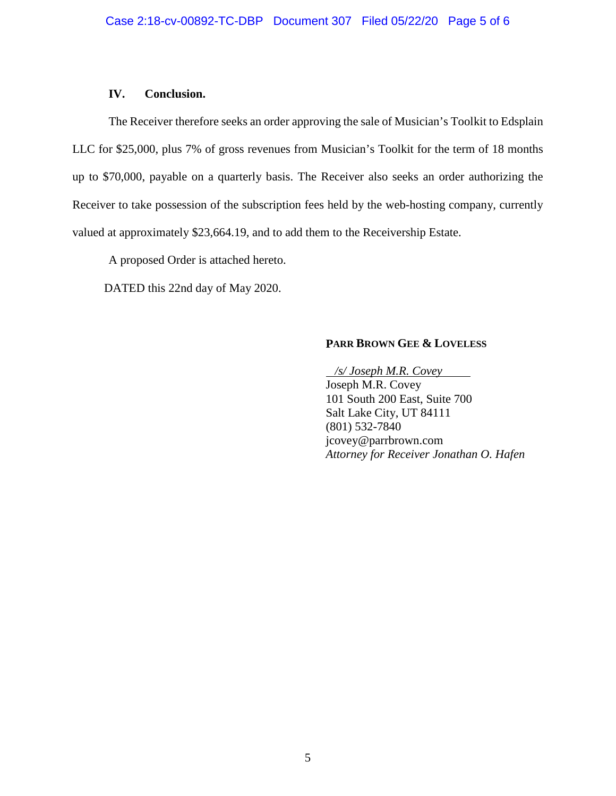## **IV. Conclusion.**

The Receiver therefore seeks an order approving the sale of Musician's Toolkit to Edsplain LLC for \$25,000, plus 7% of gross revenues from Musician's Toolkit for the term of 18 months up to \$70,000, payable on a quarterly basis. The Receiver also seeks an order authorizing the Receiver to take possession of the subscription fees held by the web-hosting company, currently valued at approximately \$23,664.19, and to add them to the Receivership Estate.

A proposed Order is attached hereto.

DATED this 22nd day of May 2020.

# **PARR BROWN GEE & LOVELESS**

 */s/ Joseph M.R. Covey* Joseph M.R. Covey 101 South 200 East, Suite 700 Salt Lake City, UT 84111 (801) 532-7840 jcovey@parrbrown.com *Attorney for Receiver Jonathan O. Hafen*